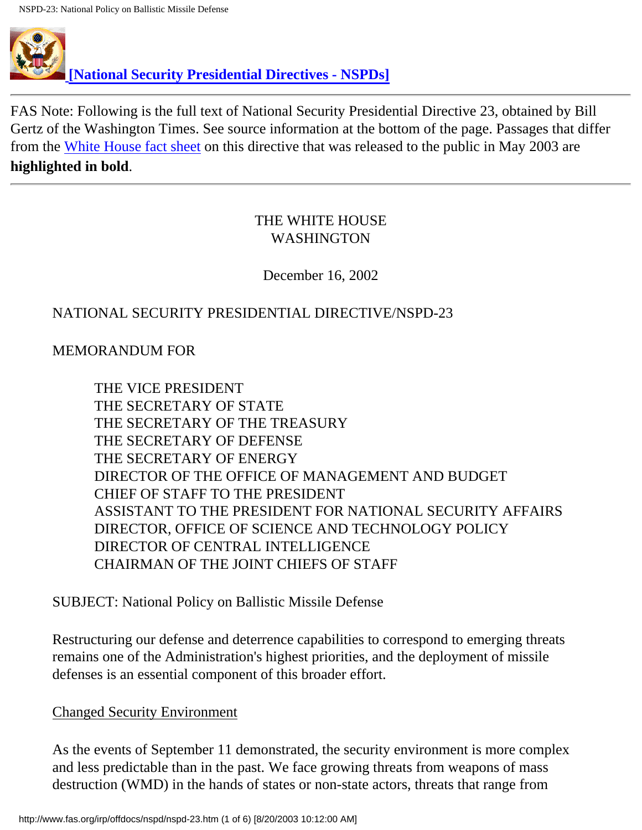

**[\[National Security Presidential Directives - NSPDs\]](http://www.fas.org/irp/offdocs/nspd/index.html)**

FAS Note: Following is the full text of National Security Presidential Directive 23, obtained by Bill Gertz of the Washington Times. See source information at the bottom of the page. Passages that differ from the [White House fact sheet](http://www.fas.org/irp/offdocs/nspd/nspd-23-fs.htm) on this directive that was released to the public in May 2003 are **highlighted in bold**.

# THE WHITE HOUSE WASHINGTON

December 16, 2002

# NATIONAL SECURITY PRESIDENTIAL DIRECTIVE/NSPD-23

# MEMORANDUM FOR

THE VICE PRESIDENT THE SECRETARY OF STATE THE SECRETARY OF THE TREASURY THE SECRETARY OF DEFENSE THE SECRETARY OF ENERGY DIRECTOR OF THE OFFICE OF MANAGEMENT AND BUDGET CHIEF OF STAFF TO THE PRESIDENT ASSISTANT TO THE PRESIDENT FOR NATIONAL SECURITY AFFAIRS DIRECTOR, OFFICE OF SCIENCE AND TECHNOLOGY POLICY DIRECTOR OF CENTRAL INTELLIGENCE CHAIRMAN OF THE JOINT CHIEFS OF STAFF

### SUBJECT: National Policy on Ballistic Missile Defense

Restructuring our defense and deterrence capabilities to correspond to emerging threats remains one of the Administration's highest priorities, and the deployment of missile defenses is an essential component of this broader effort.

## Changed Security Environment

As the events of September 11 demonstrated, the security environment is more complex and less predictable than in the past. We face growing threats from weapons of mass destruction (WMD) in the hands of states or non-state actors, threats that range from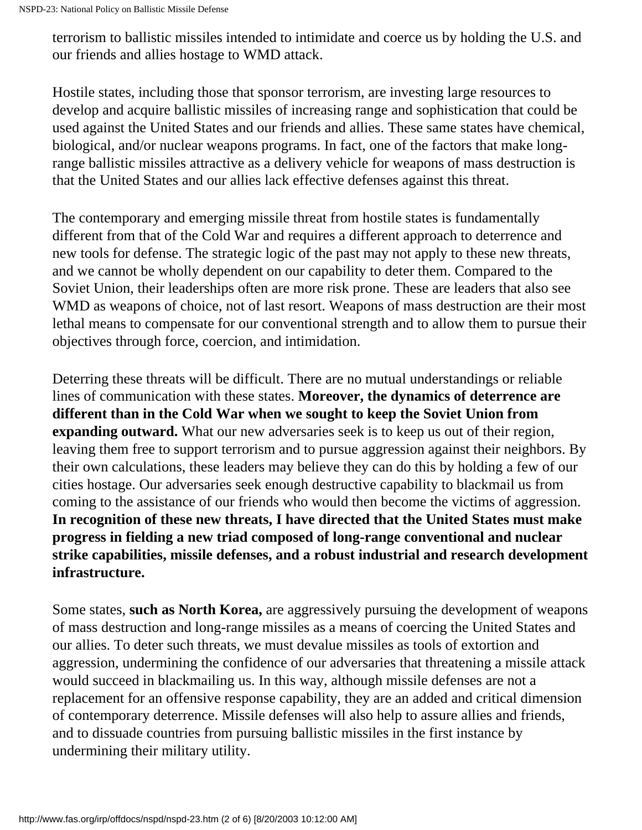terrorism to ballistic missiles intended to intimidate and coerce us by holding the U.S. and our friends and allies hostage to WMD attack.

Hostile states, including those that sponsor terrorism, are investing large resources to develop and acquire ballistic missiles of increasing range and sophistication that could be used against the United States and our friends and allies. These same states have chemical, biological, and/or nuclear weapons programs. In fact, one of the factors that make longrange ballistic missiles attractive as a delivery vehicle for weapons of mass destruction is that the United States and our allies lack effective defenses against this threat.

The contemporary and emerging missile threat from hostile states is fundamentally different from that of the Cold War and requires a different approach to deterrence and new tools for defense. The strategic logic of the past may not apply to these new threats, and we cannot be wholly dependent on our capability to deter them. Compared to the Soviet Union, their leaderships often are more risk prone. These are leaders that also see WMD as weapons of choice, not of last resort. Weapons of mass destruction are their most lethal means to compensate for our conventional strength and to allow them to pursue their objectives through force, coercion, and intimidation.

Deterring these threats will be difficult. There are no mutual understandings or reliable lines of communication with these states. **Moreover, the dynamics of deterrence are different than in the Cold War when we sought to keep the Soviet Union from expanding outward.** What our new adversaries seek is to keep us out of their region, leaving them free to support terrorism and to pursue aggression against their neighbors. By their own calculations, these leaders may believe they can do this by holding a few of our cities hostage. Our adversaries seek enough destructive capability to blackmail us from coming to the assistance of our friends who would then become the victims of aggression. **In recognition of these new threats, I have directed that the United States must make progress in fielding a new triad composed of long-range conventional and nuclear strike capabilities, missile defenses, and a robust industrial and research development infrastructure.**

Some states, **such as North Korea,** are aggressively pursuing the development of weapons of mass destruction and long-range missiles as a means of coercing the United States and our allies. To deter such threats, we must devalue missiles as tools of extortion and aggression, undermining the confidence of our adversaries that threatening a missile attack would succeed in blackmailing us. In this way, although missile defenses are not a replacement for an offensive response capability, they are an added and critical dimension of contemporary deterrence. Missile defenses will also help to assure allies and friends, and to dissuade countries from pursuing ballistic missiles in the first instance by undermining their military utility.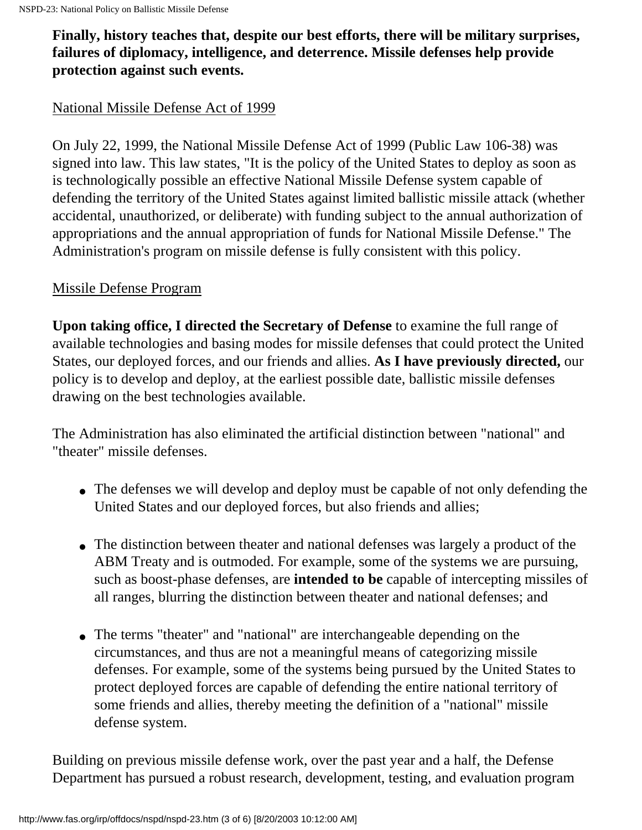# **Finally, history teaches that, despite our best efforts, there will be military surprises, failures of diplomacy, intelligence, and deterrence. Missile defenses help provide protection against such events.**

## National Missile Defense Act of 1999

On July 22, 1999, the National Missile Defense Act of 1999 (Public Law 106-38) was signed into law. This law states, "It is the policy of the United States to deploy as soon as is technologically possible an effective National Missile Defense system capable of defending the territory of the United States against limited ballistic missile attack (whether accidental, unauthorized, or deliberate) with funding subject to the annual authorization of appropriations and the annual appropriation of funds for National Missile Defense." The Administration's program on missile defense is fully consistent with this policy.

# Missile Defense Program

**Upon taking office, I directed the Secretary of Defense** to examine the full range of available technologies and basing modes for missile defenses that could protect the United States, our deployed forces, and our friends and allies. **As I have previously directed,** our policy is to develop and deploy, at the earliest possible date, ballistic missile defenses drawing on the best technologies available.

The Administration has also eliminated the artificial distinction between "national" and "theater" missile defenses.

- The defenses we will develop and deploy must be capable of not only defending the United States and our deployed forces, but also friends and allies;
- The distinction between theater and national defenses was largely a product of the ABM Treaty and is outmoded. For example, some of the systems we are pursuing, such as boost-phase defenses, are **intended to be** capable of intercepting missiles of all ranges, blurring the distinction between theater and national defenses; and
- The terms "theater" and "national" are interchangeable depending on the circumstances, and thus are not a meaningful means of categorizing missile defenses. For example, some of the systems being pursued by the United States to protect deployed forces are capable of defending the entire national territory of some friends and allies, thereby meeting the definition of a "national" missile defense system.

Building on previous missile defense work, over the past year and a half, the Defense Department has pursued a robust research, development, testing, and evaluation program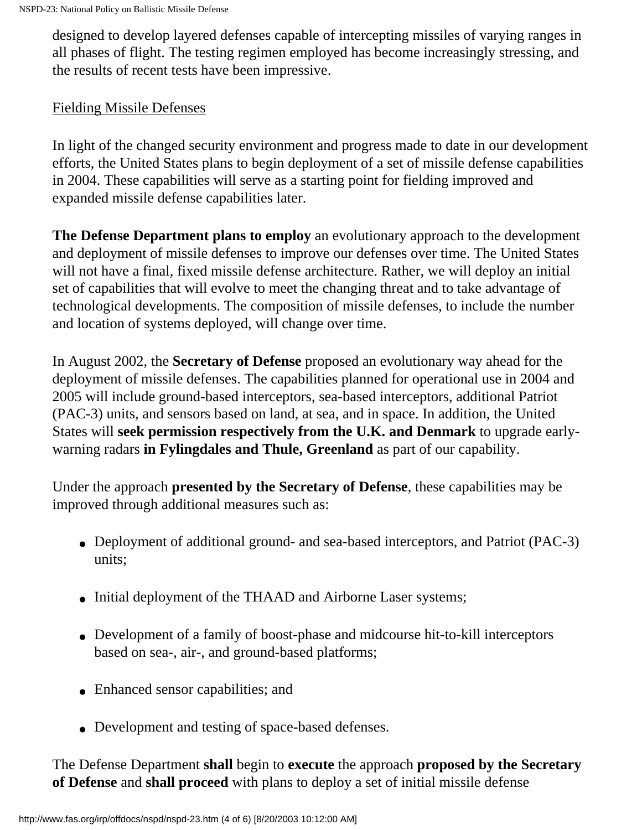designed to develop layered defenses capable of intercepting missiles of varying ranges in all phases of flight. The testing regimen employed has become increasingly stressing, and the results of recent tests have been impressive.

# Fielding Missile Defenses

In light of the changed security environment and progress made to date in our development efforts, the United States plans to begin deployment of a set of missile defense capabilities in 2004. These capabilities will serve as a starting point for fielding improved and expanded missile defense capabilities later.

**The Defense Department plans to employ** an evolutionary approach to the development and deployment of missile defenses to improve our defenses over time. The United States will not have a final, fixed missile defense architecture. Rather, we will deploy an initial set of capabilities that will evolve to meet the changing threat and to take advantage of technological developments. The composition of missile defenses, to include the number and location of systems deployed, will change over time.

In August 2002, the **Secretary of Defense** proposed an evolutionary way ahead for the deployment of missile defenses. The capabilities planned for operational use in 2004 and 2005 will include ground-based interceptors, sea-based interceptors, additional Patriot (PAC-3) units, and sensors based on land, at sea, and in space. In addition, the United States will **seek permission respectively from the U.K. and Denmark** to upgrade earlywarning radars **in Fylingdales and Thule, Greenland** as part of our capability.

Under the approach **presented by the Secretary of Defense**, these capabilities may be improved through additional measures such as:

- Deployment of additional ground- and sea-based interceptors, and Patriot (PAC-3) units;
- Initial deployment of the THAAD and Airborne Laser systems;
- Development of a family of boost-phase and midcourse hit-to-kill interceptors based on sea-, air-, and ground-based platforms;
- Enhanced sensor capabilities; and
- Development and testing of space-based defenses.

The Defense Department **shall** begin to **execute** the approach **proposed by the Secretary of Defense** and **shall proceed** with plans to deploy a set of initial missile defense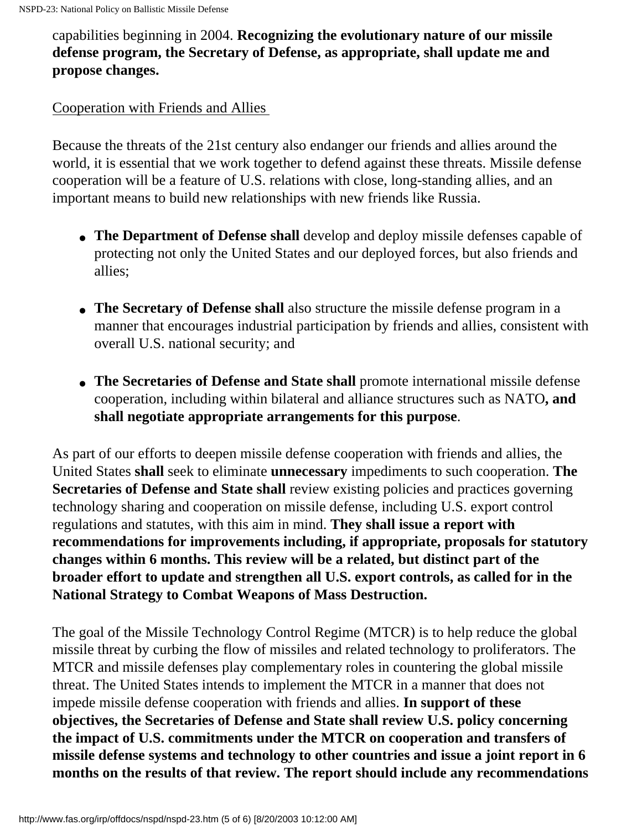capabilities beginning in 2004. **Recognizing the evolutionary nature of our missile defense program, the Secretary of Defense, as appropriate, shall update me and propose changes.**

Cooperation with Friends and Allies

Because the threats of the 21st century also endanger our friends and allies around the world, it is essential that we work together to defend against these threats. Missile defense cooperation will be a feature of U.S. relations with close, long-standing allies, and an important means to build new relationships with new friends like Russia.

- **The Department of Defense shall** develop and deploy missile defenses capable of protecting not only the United States and our deployed forces, but also friends and allies;
- **The Secretary of Defense shall** also structure the missile defense program in a manner that encourages industrial participation by friends and allies, consistent with overall U.S. national security; and
- **The Secretaries of Defense and State shall** promote international missile defense cooperation, including within bilateral and alliance structures such as NATO**, and shall negotiate appropriate arrangements for this purpose**.

As part of our efforts to deepen missile defense cooperation with friends and allies, the United States **shall** seek to eliminate **unnecessary** impediments to such cooperation. **The Secretaries of Defense and State shall** review existing policies and practices governing technology sharing and cooperation on missile defense, including U.S. export control regulations and statutes, with this aim in mind. **They shall issue a report with recommendations for improvements including, if appropriate, proposals for statutory changes within 6 months. This review will be a related, but distinct part of the broader effort to update and strengthen all U.S. export controls, as called for in the National Strategy to Combat Weapons of Mass Destruction.**

The goal of the Missile Technology Control Regime (MTCR) is to help reduce the global missile threat by curbing the flow of missiles and related technology to proliferators. The MTCR and missile defenses play complementary roles in countering the global missile threat. The United States intends to implement the MTCR in a manner that does not impede missile defense cooperation with friends and allies. **In support of these objectives, the Secretaries of Defense and State shall review U.S. policy concerning the impact of U.S. commitments under the MTCR on cooperation and transfers of missile defense systems and technology to other countries and issue a joint report in 6 months on the results of that review. The report should include any recommendations**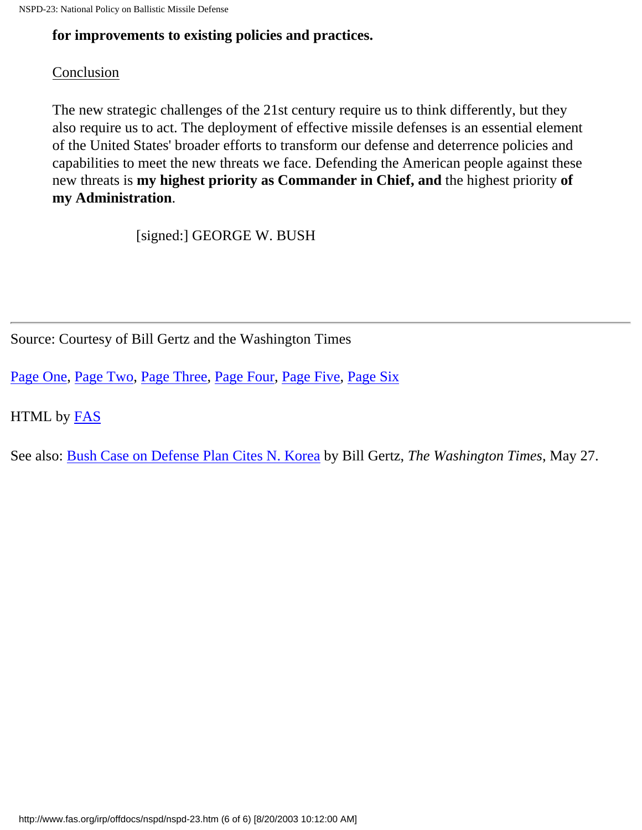NSPD-23: National Policy on Ballistic Missile Defense

# **for improvements to existing policies and practices.**

### **Conclusion**

The new strategic challenges of the 21st century require us to think differently, but they also require us to act. The deployment of effective missile defenses is an essential element of the United States' broader efforts to transform our defense and deterrence policies and capabilities to meet the new threats we face. Defending the American people against these new threats is **my highest priority as Commander in Chief, and** the highest priority **of my Administration**.

[signed:] GEORGE W. BUSH

Source: Courtesy of Bill Gertz and the Washington Times

[Page One](#page-6-0), [Page Two](#page-7-0), [Page Three,](#page-8-0) [Page Four,](#page-9-0) [Page Five,](#page-10-0) [Page Six](#page-11-0)

HTML by [FAS](mailto:saftergood@fas.org)

See also: [Bush Case on Defense Plan Cites N. Korea](http://www.washtimes.com/national/20030527-124651-5190r.htm) by Bill Gertz, *The Washington Times*, May 27.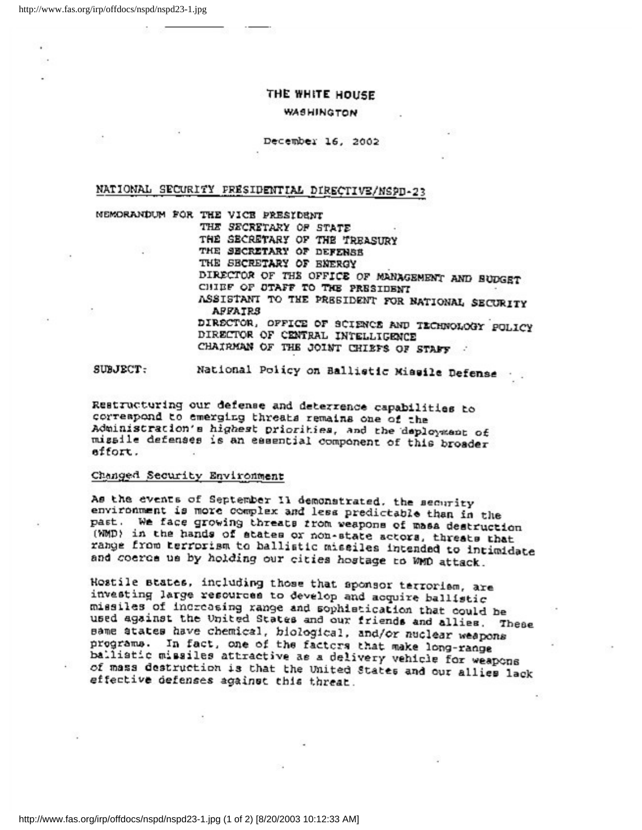### THE WHITE HOUSE **WASHINGTON**

December 16, 2002

#### <span id="page-6-0"></span>NATIONAL SECURITY FRESIDENTIAL DIRECTIVE/NSPD-23

MEMORANDUM FOR THE VICE PRESIDENT THE SECRETARY OF STATE THE SECRETARY OF THE TREASURY THE SECRETARY OF DEFENSE THE SECRETARY OF ENERGY DIRECTOR OF THE OFFICE OF MANAGEMENT AND BUDGET CHIEF OF UTAFF TO THE PRESIDENT ASSISTANT TO THE PRESIDENT FOR NATIONAL SECURITY **AFFAIRS** DIRECTOR, OFFICE OF SCIENCE AND TECHNOLOGY POLICY DIRECTOR OF CENTRAL INTELLIGENCE CHAIRMAN OF THE JOINT CHIEFS OF STAFF

National Policy on Ballistic Missile Defense SUBJECT:

Restructuring our defense and deterrence capabilities to correspond to emerging threats remains one of the Administration's highest priorities, and the deployment of missile defenses is an essential component of this broader effort.

#### Changed Security Environment

As the events of September Il demonstrated, the security environment is more complex and less predictable than in the past. We face growing threats from weapons of masa destruction (MMD) in the hands of atates or non-state actors, threats that range from terrorism to ballistic missiles intended to intimidate and coerce us by holding our cities hostage to WMD attack.

Hostile states, including those that aponsor terroriam, are investing large resources to develop and acquire ballistic missiles of increasing range and sophistication that could be used against the United States and our friends and allies. These same states have chemical, biological, and/or nuclear weapons programs. In fact, one of the factors that make long-range ballistic missiles attractive as a delivery vehicle for weapons of mass destruction is that the United States and our allies lack effective defenses against this threat.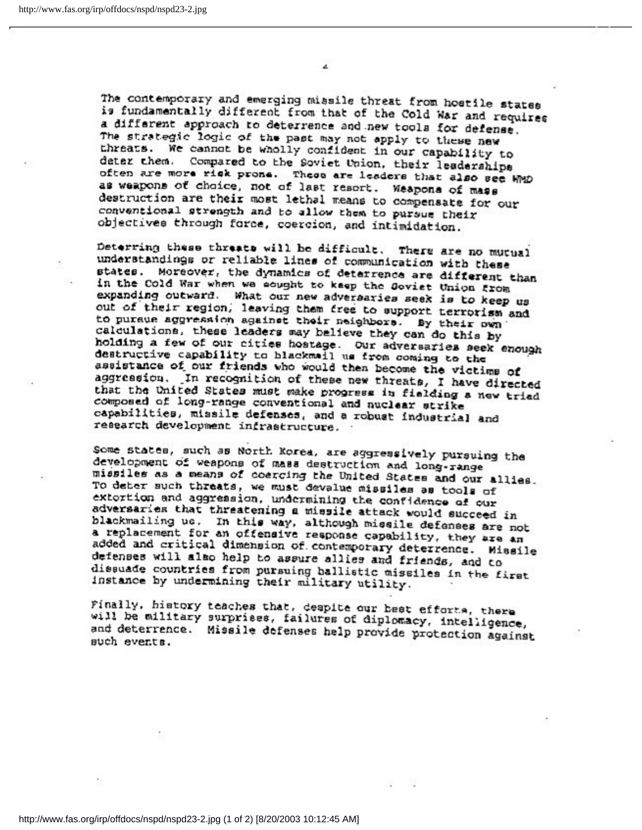<span id="page-7-0"></span>The contemporary and emerging missile threat from hostile states is fundamentally different from that of the Cold War and requires a different approach to deterrence and new tools for defense. The strategic logic of the past may not apply to these new threats. We cannot be wholly confident in our capability to deter them. Compared to the Soviet Union, their leaderships often are more risk prone. These are leaders that also see WWD as weapons of choice, not of last resort. Weapons of mass destruction are their most lethal means to compensate for our conventional strength and to allow them to pursue their objectives through force, coercion, and intimidation.

ż

Deterring these threats will be difficult. There are no mutual understandings or reliable lines of communication with these states. Moreover, the dynamics of deterrence are different than in the Cold War when we cought to keep the Goviet Union from expanding outward. What our new advergantes seek is to keep us out of their region, leaving them free to support terrorism and to pursue aggression against their neighbors. By their own calculations, these leaders may believe they can do this by holding a few of our cities hostage. Our adversaries seek enough destructive capability to blackmail us from coming to the assistance of our friends who would then become the victims of aggression. In recognition of these new threats, I have directed that the United States must make progress in fielding a new triad composed of long-range conventional and nuclear strike capabilities, missile defenses, and a robust industrial and research development infrastructure.

Some states, such as North Rorea, are aggressively pursuing the development of weapons of mass destruction and long-range missiles as a meapons of mass destruction and long-range<br>missiles as a means of coercing the United States and our allies. To deter such threats, we must devalue missiles as tools of extertion and aggression, undermining the confidence of cur adversaries that threatening a missile attack would succeed in blackmailing us. In this way, although missile defenses are not a replacement for an offenaly, althogon missile detenses are not added and critical dimension of contemporary deterrence. Missile defenses will also help to assure allies and friends, and to dissuade countries from pursuing ballistic missiles in the first instance by undermining their military utility.

Finally, history teaches that, despite our best efforts, there will be military surprises, failures of diplomacy, intelligence, and deterrence. Missile defenses help provide protection against such events.

http://www.fas.org/irp/offdocs/nspd/nspd23-2.jpg (1 of 2) [8/20/2003 10:12:45 AM]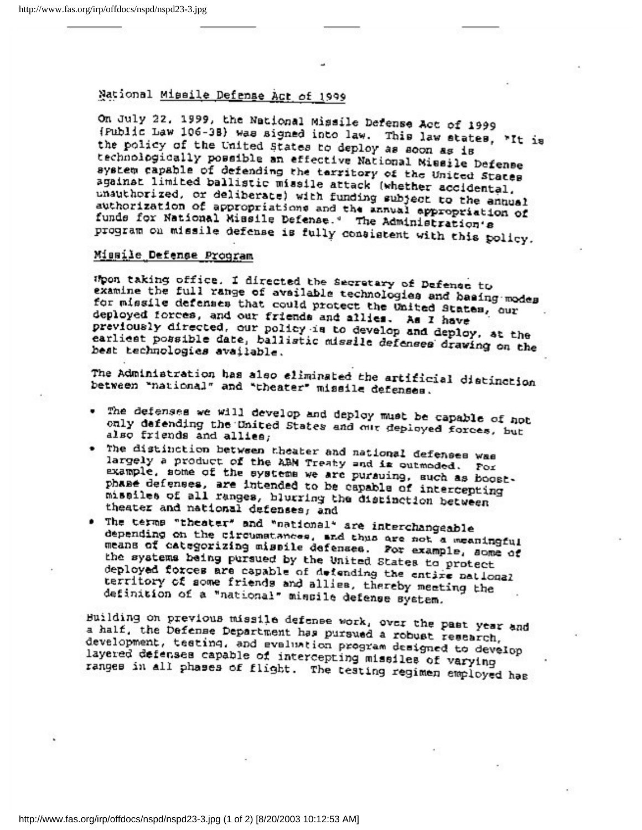#### <span id="page-8-0"></span>National Missile Defense Act of 1999

On July 22, 1999, the National Missile Defense Act of 1999 (Public Law 106-38) was signed into law. This law states, "It is the policy of the United States to deploy as soon as is technologically possible an effective National Missile Defense system capable of defending the territory of the United States againat limited ballistic missile attack (whether accidental, unsuthorized, or deliberate) with funding subject to the annual authorization of appropriations and the annual eppropriation of funds for National Missile Defense. The Administration's program on missile defense is fully consistent with this policy.

#### Missile Defense Program

Hoon taking office. I directed the Secretary of Defence to examine the full range of available technologies and basing modes for missile defenses that could protect the United States, our deployed forces, and our friends and allies. As I have previously directed, our policy is to develop and deploy, at the earliest possible date, ballistic missile defenses drawing on the best technologies available.

The Administration has also eliminated the artificial distinction between "national" and "theater" missile defenses.

- . The defenses we will develop and deploy must be capable of not only defending the United States and our deployed forces, but also friends and allies;
- . The distinction between theater and national defenses was largely a product of the ABN Treaty and is outmoded. For example, some of the systems we are pursuing, such as boostphase defenses, are intended to be capable of intercepting missiles of all ranges, blurring the distinction between theater and national defenses; and
- . The terms "theater" and "national" are interchangeable depending on the circumstances, and thus are not a meaningful means of categorizing missile defenses. For example, some of the systems being pursued by the United States to protect deployed forces are capable of detending the entire national territory of some friends and allies, thereby meeting the definition of a "national" missile defense system.

Building on previous missile defense work, over the past year and a half, the Defense Department has pursued a robust research, development, testing, and evaluation program designed to develop layered defenses capable of intercepting missiles of varying ranges in all phases of flight. The testing regimen employed has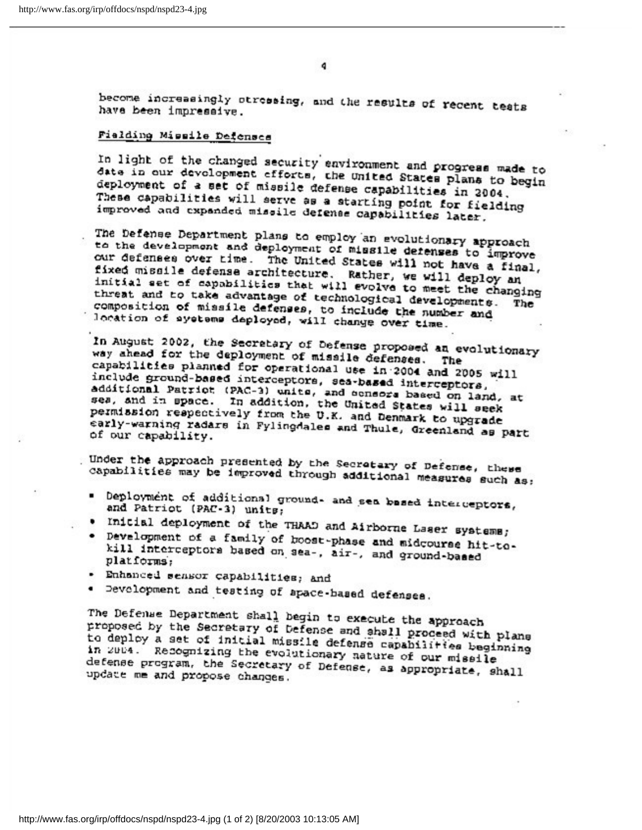<span id="page-9-0"></span>become increasingly otressing, and the results of recent teats have been impressive.

#### Fielding Missile Defenses

In light of the changed security environment and progress made to date in our development efforts, the united States plans to begin deployment of a set of missile defense capabilities in 2004. These capabilities will serve as a starting point for fielding improved and expanded missile defense capabilities later.

The Defense Department plans to employ an evolutionary approach to the development and deployment of missile defenses to improve our defenses over time. The United States will not have a final, fixed missile defense architecture. Rather, we will deploy an initial set of capabilities that will evolve to meet the changing threat and to take advantage of technological developments. The composition of missile defenses, to include the number and location of systems deployed, will change over time.

In August 2002, the Secretary of Defense proposed an evolutionary way ahead for the deployment of missile defenses. The capabilities planned for operational use in 2004 and 2005 will include ground-based interceptors, sea-based interceptors, additional Patriot (PAC-3) unite, and ecneors based on land, at sea, and in space. In addition, the United States will seek permission respectively from the U.K. and Denmark to upgrade early-warning radars in Fylingdales and Thule, Greenland as part of our capability.

Under the approach presented by the Secretary of Defense, these capabilities may be improved through additional measures such as:

- . Deployment of additional ground- and sea based interceptors, and Patriot (PAC-3) units;
- . Initial deployment of the THAAD and Airborne Laser systems;
- . Development of a family of boost-phase and midcourse hit-tokill interceptors based on sea-, air-, and ground-based platforms:
- . Enhanced sensor capabilities; and
- . Development and testing of space-based defenses.

The Defense Department shall begin to execute the approach proposed by the Secretary of Defense and shall proceed with plane to deploy a set of initial missile defense capabilities beginning in 2004. Recognizing the evolutionary nature of our missile defense program, the Secretary of Defense, as appropriate, shall update me and propose changes.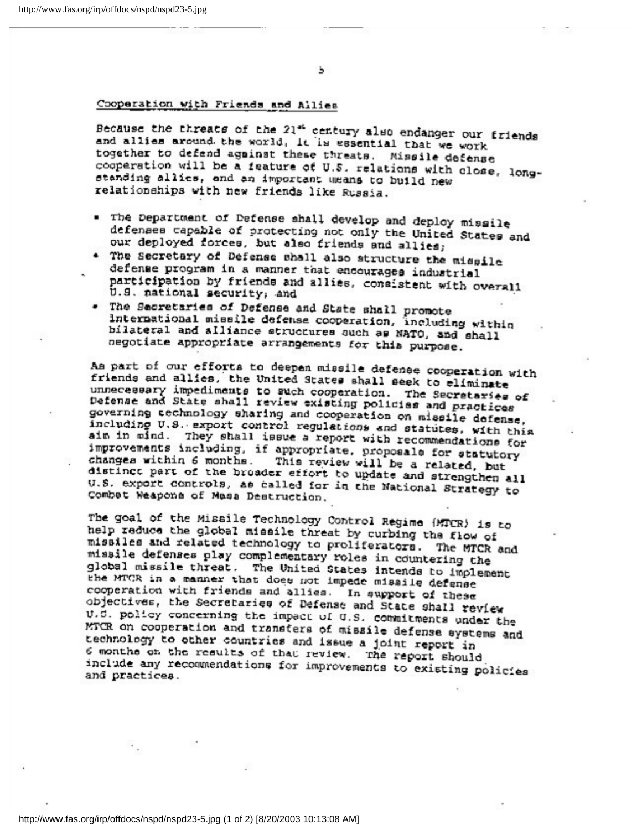ь

#### <span id="page-10-0"></span>Cooperation with Friends and Allies

Because the threats of the 21st century also endanger our friends and allies around the world, it is essential that we work together to defend against these threats. Missile defense cooperation will be a feature of U.S. relations with close, longstanding allies, and an important usans to build new relationships with new friends like Russia.

- . The Department of Defense shall develop and deploy missile defenses capable of protecting not only the United States and our deployed forces, but also friends and allies;
- . The Secretary of Defense shall also structure the missile defense program in a manner that encourages industrial participation by friends and allies, consistent with overall U.S. national security; and
- . The Secretaries of Defense and State shall promote international missile defense cooperation, including within bilateral and alliance structures such as NATO, and shall negotiate appropriate arrangements for this purpose.

As part of our efforts to deepen missile defense cooperation with friends and allies, the United States shall seek to eliminate unnecessary impediments to such cooperation. The Secretaries of Defense and State shall review existing policies and practices governing technology sharing and cooperation on missile defense, including U.S. export control regulations and statutes, with this aim in mind. They shall issue a report with recommendations for improvements including, if appropriate, proposale for statutory changes within 6 months. This review will be a related, but distinct part of the broader effort to update and strengthen all U.S. export controls, as called for in the National Strategy to Combet Weapons of Mass Destruction.

The goal of the Missile Technology Control Regime (MTCR) is to help raduce the global missile threat by curbing the flow of missiles and related technology to proliferators. The MTCR and missile defenses play complementary roles in countering the global missile threat. The United States intends to implement the MTCR in a manner that does not impede missile defense cooperation with friends and allies. In support of these objectives, the Secretaries of Defense and State shall review U.S. policy concerning the impact of U.S. commitments under the MTCR on cooperation and transfers of missile defense systems and technology to other countries and issue a joint report in 6 months on the results of that review. The report should include any recommendations for improvements to existing policies and practices.